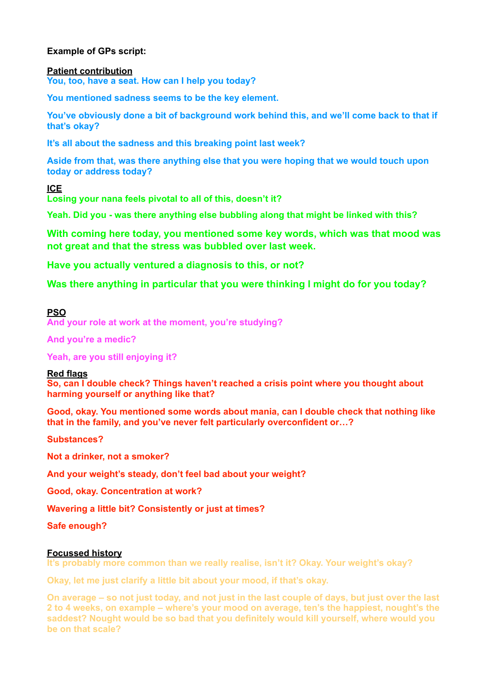# **Example of GPs script:**

### **Patient contribution**

**You, too, have a seat. How can I help you today?** 

**You mentioned sadness seems to be the key element.** 

**You've obviously done a bit of background work behind this, and we'll come back to that if that's okay?** 

**It's all about the sadness and this breaking point last week?** 

**Aside from that, was there anything else that you were hoping that we would touch upon today or address today?** 

# **ICE**

**Losing your nana feels pivotal to all of this, doesn't it?** 

**Yeah. Did you - was there anything else bubbling along that might be linked with this?** 

**With coming here today, you mentioned some key words, which was that mood was not great and that the stress was bubbled over last week.**

**Have you actually ventured a diagnosis to this, or not?** 

**Was there anything in particular that you were thinking I might do for you today?**

# **PSO**

**And your role at work at the moment, you're studying?** 

**And you're a medic?** 

**Yeah, are you still enjoying it?** 

## **Red flags**

**So, can I double check? Things haven't reached a crisis point where you thought about harming yourself or anything like that?** 

**Good, okay. You mentioned some words about mania, can I double check that nothing like that in the family, and you've never felt particularly overconfident or…?** 

**Substances?** 

**Not a drinker, not a smoker?** 

**And your weight's steady, don't feel bad about your weight?** 

**Good, okay. Concentration at work?** 

**Wavering a little bit? Consistently or just at times?** 

**Safe enough?**

## **Focussed history**

**It's probably more common than we really realise, isn't it? Okay. Your weight's okay?** 

**Okay, let me just clarify a little bit about your mood, if that's okay.** 

**On average – so not just today, and not just in the last couple of days, but just over the last 2 to 4 weeks, on example – where's your mood on average, ten's the happiest, nought's the saddest? Nought would be so bad that you definitely would kill yourself, where would you be on that scale?**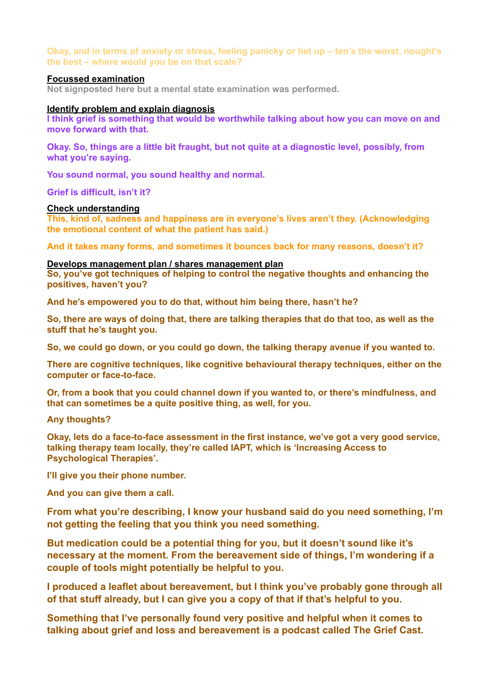**Okay, and in terms of anxiety or stress, feeling panicky or het up – ten's the worst, nought's the best – where would you be on that scale?**

## **Focussed examination**

**Not signposted here but a mental state examination was performed.**

### **Identify problem and explain diagnosis**

**I think grief is something that would be worthwhile talking about how you can move on and move forward with that.** 

**Okay. So, things are a little bit fraught, but not quite at a diagnostic level, possibly, from what you're saying.** 

**You sound normal, you sound healthy and normal.** 

**Grief is difficult, isn't it?** 

# **Check understanding**

**This, kind of, sadness and happiness are in everyone's lives aren't they. (Acknowledging the emotional content of what the patient has said.)** 

**And it takes many forms, and sometimes it bounces back for many reasons, doesn't it?** 

#### **Develops management plan / shares management plan**

**So, you've got techniques of helping to control the negative thoughts and enhancing the positives, haven't you?** 

**And he's empowered you to do that, without him being there, hasn't he?** 

**So, there are ways of doing that, there are talking therapies that do that too, as well as the stuff that he's taught you.** 

**So, we could go down, or you could go down, the talking therapy avenue if you wanted to.** 

**There are cognitive techniques, like cognitive behavioural therapy techniques, either on the computer or face-to-face.** 

**Or, from a book that you could channel down if you wanted to, or there's mindfulness, and that can sometimes be a quite positive thing, as well, for you.** 

**Any thoughts?** 

**Okay, lets do a face-to-face assessment in the first instance, we've got a very good service, talking therapy team locally, they're called IAPT, which is 'Increasing Access to Psychological Therapies'.** 

**I'll give you their phone number.** 

**And you can give them a call.** 

**From what you're describing, I know your husband said do you need something, I'm not getting the feeling that you think you need something.** 

**But medication could be a potential thing for you, but it doesn't sound like it's necessary at the moment. From the bereavement side of things, I'm wondering if a couple of tools might potentially be helpful to you.** 

**I produced a leaflet about bereavement, but I think you've probably gone through all of that stuff already, but I can give you a copy of that if that's helpful to you.** 

**Something that I've personally found very positive and helpful when it comes to talking about grief and loss and bereavement is a podcast called The Grief Cast.**